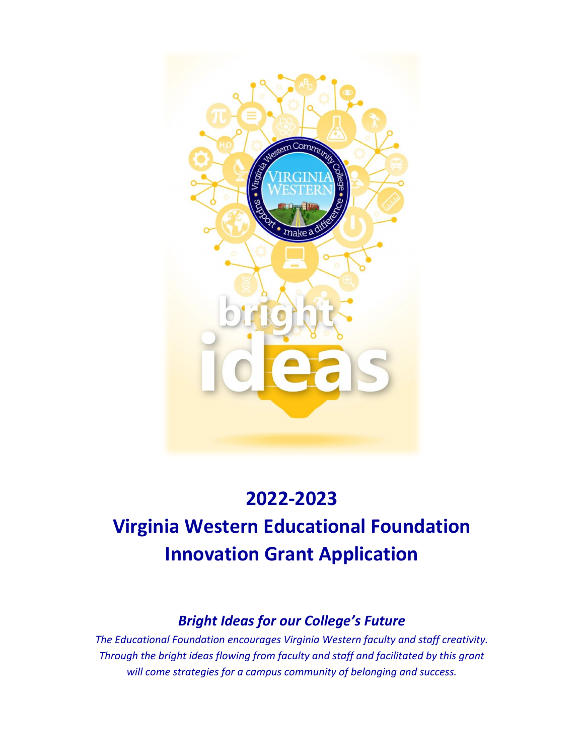

# **2022-2023 Virginia Western Educational Foundation Innovation Grant Application**

## *Bright Ideas for our College's Future*

*The Educational Foundation encourages Virginia Western faculty and staff creativity. Through the bright ideas flowing from faculty and staff and facilitated by this grant will come strategies for a campus community of belonging and success.*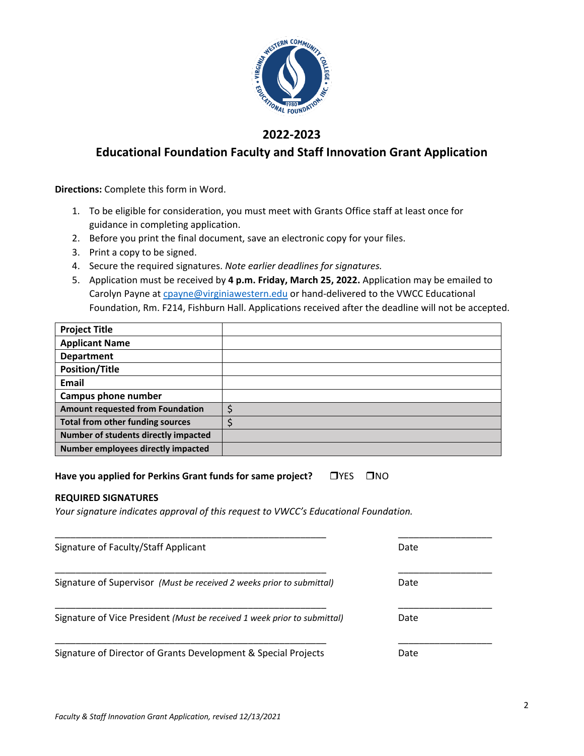

### **2022-2023**

## **Educational Foundation Faculty and Staff Innovation Grant Application**

**Directions:** Complete this form in Word.

- 1. To be eligible for consideration, you must meet with Grants Office staff at least once for guidance in completing application.
- 2. Before you print the final document, save an electronic copy for your files.
- 3. Print a copy to be signed.
- 4. Secure the required signatures. *Note earlier deadlines for signatures.*
- 5. Application must be received by **4 p.m. Friday, March 25, 2022.** Application may be emailed to Carolyn Payne at [cpayne@virginiawestern.edu](mailto:cpayne@virginiawestern.edu) or hand-delivered to the VWCC Educational Foundation, Rm. F214, Fishburn Hall. Applications received after the deadline will not be accepted.

| <b>Project Title</b>                    |  |
|-----------------------------------------|--|
| <b>Applicant Name</b>                   |  |
| <b>Department</b>                       |  |
| <b>Position/Title</b>                   |  |
| <b>Email</b>                            |  |
| Campus phone number                     |  |
| <b>Amount requested from Foundation</b> |  |
| <b>Total from other funding sources</b> |  |
| Number of students directly impacted    |  |
| Number employees directly impacted      |  |

Have you applied for Perkins Grant funds for same project? <br>
<u>NO</u>

#### **REQUIRED SIGNATURES**

*Your signature indicates approval of this request to VWCC's Educational Foundation.*

| Signature of Faculty/Staff Applicant                                     | Date |
|--------------------------------------------------------------------------|------|
| Signature of Supervisor (Must be received 2 weeks prior to submittal)    | Date |
| Signature of Vice President (Must be received 1 week prior to submittal) | Date |
| Signature of Director of Grants Development & Special Projects           | Date |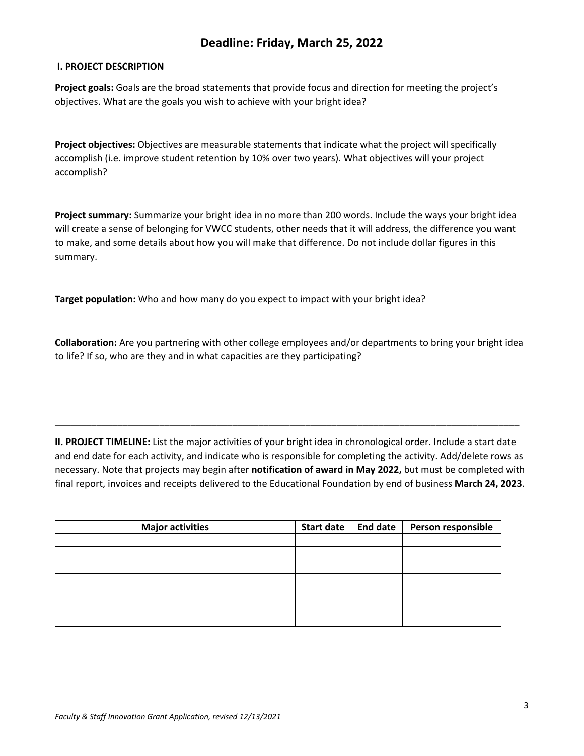## **Deadline: Friday, March 25, 2022**

#### **I. PROJECT DESCRIPTION**

**Project goals:** Goals are the broad statements that provide focus and direction for meeting the project's objectives. What are the goals you wish to achieve with your bright idea?

**Project objectives:** Objectives are measurable statements that indicate what the project will specifically accomplish (i.e. improve student retention by 10% over two years). What objectives will your project accomplish?

**Project summary:** Summarize your bright idea in no more than 200 words. Include the ways your bright idea will create a sense of belonging for VWCC students, other needs that it will address, the difference you want to make, and some details about how you will make that difference. Do not include dollar figures in this summary.

**Target population:** Who and how many do you expect to impact with your bright idea?

**Collaboration:** Are you partnering with other college employees and/or departments to bring your bright idea to life? If so, who are they and in what capacities are they participating?

**II. PROJECT TIMELINE:** List the major activities of your bright idea in chronological order. Include a start date and end date for each activity, and indicate who is responsible for completing the activity. Add/delete rows as necessary. Note that projects may begin after **notification of award in May 2022,** but must be completed with final report, invoices and receipts delivered to the Educational Foundation by end of business **March 24, 2023**.

\_\_\_\_\_\_\_\_\_\_\_\_\_\_\_\_\_\_\_\_\_\_\_\_\_\_\_\_\_\_\_\_\_\_\_\_\_\_\_\_\_\_\_\_\_\_\_\_\_\_\_\_\_\_\_\_\_\_\_\_\_\_\_\_\_\_\_\_\_\_\_\_\_\_\_\_\_\_\_\_\_\_\_\_\_\_\_\_\_

| <b>Major activities</b> | <b>Start date</b> | <b>End date</b> | Person responsible |
|-------------------------|-------------------|-----------------|--------------------|
|                         |                   |                 |                    |
|                         |                   |                 |                    |
|                         |                   |                 |                    |
|                         |                   |                 |                    |
|                         |                   |                 |                    |
|                         |                   |                 |                    |
|                         |                   |                 |                    |